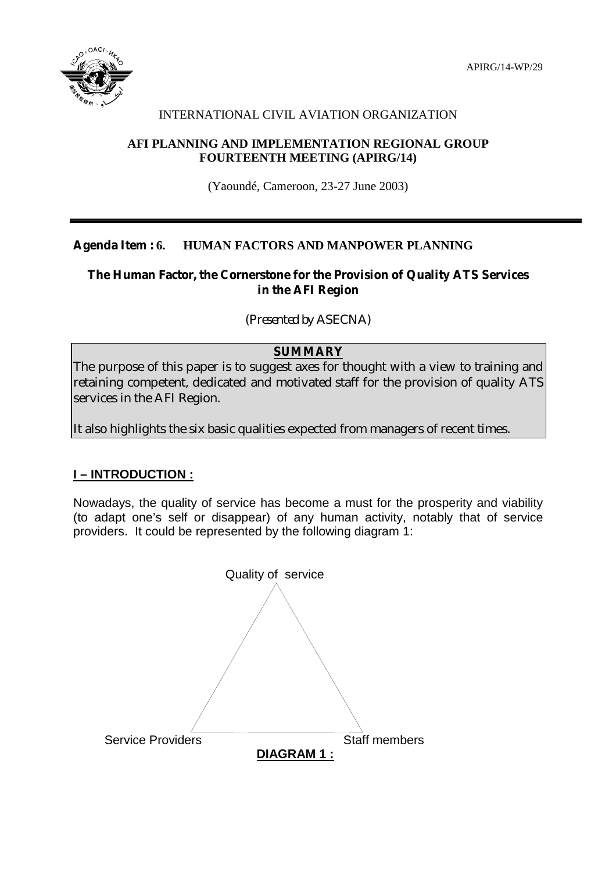

# INTERNATIONAL CIVIL AVIATION ORGANIZATION

## **AFI PLANNING AND IMPLEMENTATION REGIONAL GROUP FOURTEENTH MEETING (APIRG/14)**

(Yaoundé, Cameroon, 23-27 June 2003)

# **Agenda Item : 6. HUMAN FACTORS AND MANPOWER PLANNING**

## **The Human Factor, the Cornerstone for the Provision of Quality ATS Services in the AFI Region**

*(Presented by ASECNA)* 

# **SUMMARY**

The purpose of this paper is to suggest axes for thought with a view to training and retaining competent, dedicated and motivated staff for the provision of quality ATS services in the AFI Region.

It also highlights the six basic qualities expected from managers of recent times.

# **I – INTRODUCTION :**

Nowadays, the quality of service has become a must for the prosperity and viability (to adapt one's self or disappear) of any human activity, notably that of service providers. It could be represented by the following diagram 1:

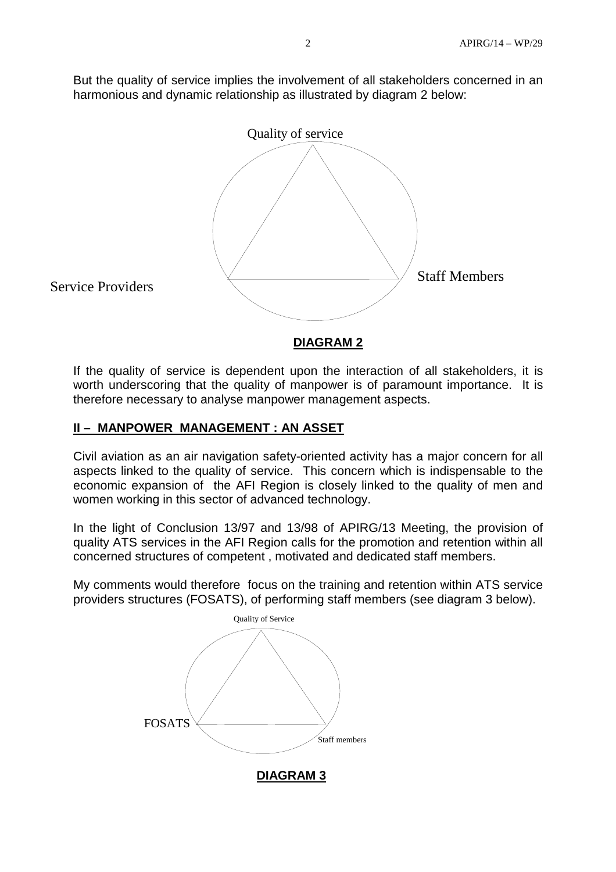But the quality of service implies the involvement of all stakeholders concerned in an harmonious and dynamic relationship as illustrated by diagram 2 below:



If the quality of service is dependent upon the interaction of all stakeholders, it is worth underscoring that the quality of manpower is of paramount importance. It is therefore necessary to analyse manpower management aspects.

## **II – MANPOWER MANAGEMENT : AN ASSET**

Civil aviation as an air navigation safety-oriented activity has a major concern for all aspects linked to the quality of service. This concern which is indispensable to the economic expansion of the AFI Region is closely linked to the quality of men and women working in this sector of advanced technology.

In the light of Conclusion 13/97 and 13/98 of APIRG/13 Meeting, the provision of quality ATS services in the AFI Region calls for the promotion and retention within all concerned structures of competent , motivated and dedicated staff members.

My comments would therefore focus on the training and retention within ATS service providers structures (FOSATS), of performing staff members (see diagram 3 below).

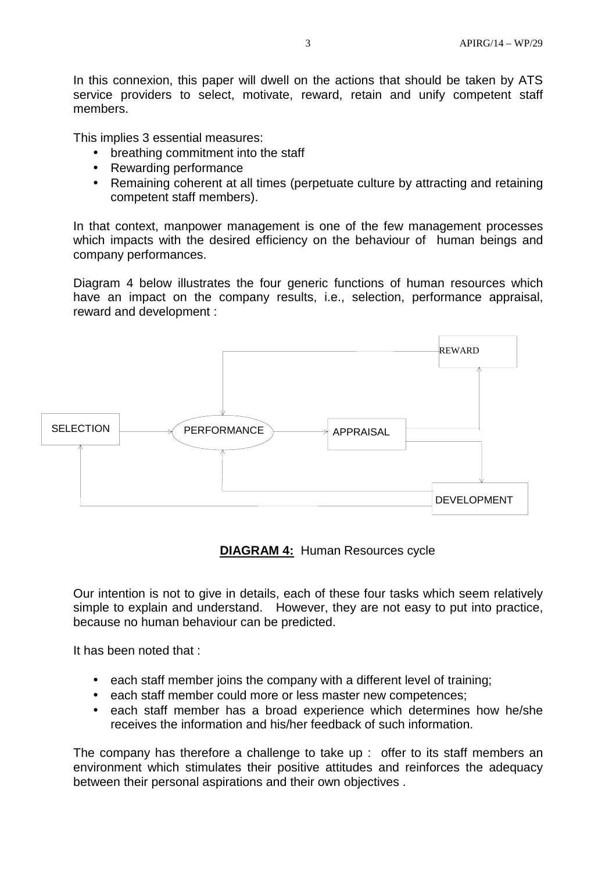In this connexion, this paper will dwell on the actions that should be taken by ATS service providers to select, motivate, reward, retain and unify competent staff members.

This implies 3 essential measures:

- breathing commitment into the staff
- Rewarding performance
- Remaining coherent at all times (perpetuate culture by attracting and retaining competent staff members).

In that context, manpower management is one of the few management processes which impacts with the desired efficiency on the behaviour of human beings and company performances.

Diagram 4 below illustrates the four generic functions of human resources which have an impact on the company results, i.e., selection, performance appraisal, reward and development :



**DIAGRAM 4:** Human Resources cycle

Our intention is not to give in details, each of these four tasks which seem relatively simple to explain and understand. However, they are not easy to put into practice, because no human behaviour can be predicted.

It has been noted that :

- each staff member joins the company with a different level of training;
- each staff member could more or less master new competences;
- each staff member has a broad experience which determines how he/she receives the information and his/her feedback of such information.

The company has therefore a challenge to take up : offer to its staff members an environment which stimulates their positive attitudes and reinforces the adequacy between their personal aspirations and their own objectives .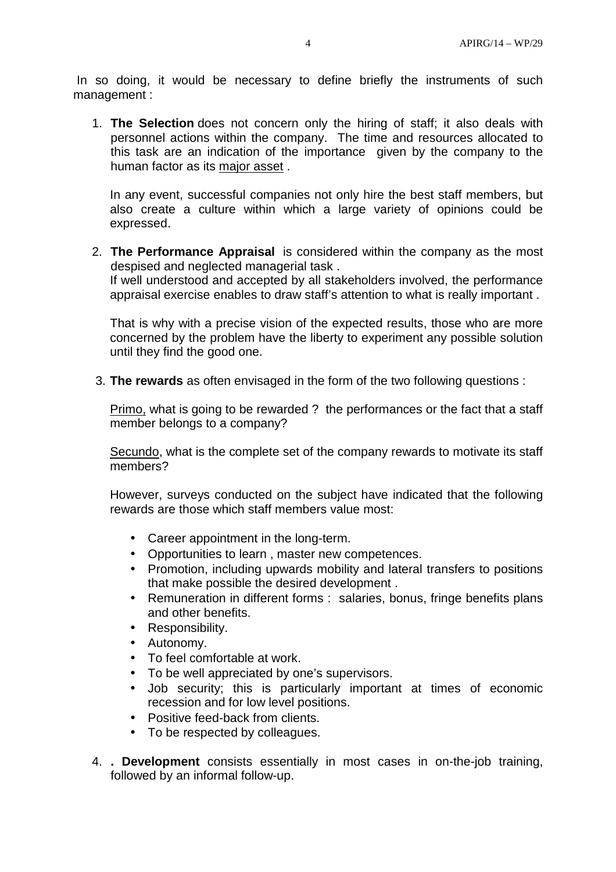In so doing, it would be necessary to define briefly the instruments of such management :

1. **The Selection** does not concern only the hiring of staff; it also deals with personnel actions within the company. The time and resources allocated to this task are an indication of the importance given by the company to the human factor as its major asset .

In any event, successful companies not only hire the best staff members, but also create a culture within which a large variety of opinions could be expressed.

2. **The Performance Appraisal** is considered within the company as the most despised and neglected managerial task .

If well understood and accepted by all stakeholders involved, the performance appraisal exercise enables to draw staff's attention to what is really important .

That is why with a precise vision of the expected results, those who are more concerned by the problem have the liberty to experiment any possible solution until they find the good one.

3. **The rewards** as often envisaged in the form of the two following questions :

Primo, what is going to be rewarded ? the performances or the fact that a staff member belongs to a company?

Secundo, what is the complete set of the company rewards to motivate its staff members?

However, surveys conducted on the subject have indicated that the following rewards are those which staff members value most:

- Career appointment in the long-term.
- Opportunities to learn , master new competences.
- Promotion, including upwards mobility and lateral transfers to positions that make possible the desired development .
- Remuneration in different forms : salaries, bonus, fringe benefits plans and other benefits.
- Responsibility.
- Autonomy.
- To feel comfortable at work.
- To be well appreciated by one's supervisors.
- Job security; this is particularly important at times of economic recession and for low level positions.
- Positive feed-back from clients.
- To be respected by colleagues.
- 4. **. Development** consists essentially in most cases in on-the-job training, followed by an informal follow-up.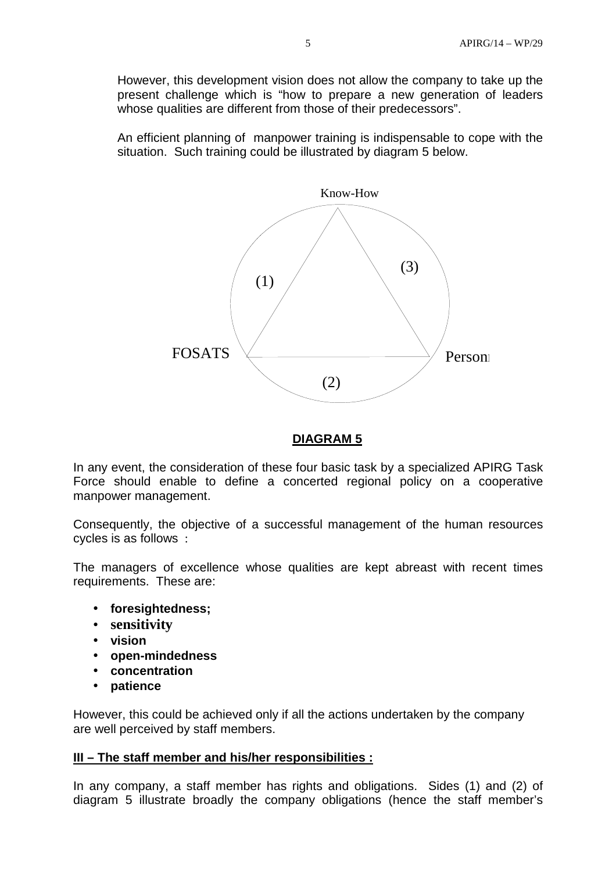However, this development vision does not allow the company to take up the present challenge which is "how to prepare a new generation of leaders whose qualities are different from those of their predecessors".

An efficient planning of manpower training is indispensable to cope with the situation. Such training could be illustrated by diagram 5 below.



### **DIAGRAM 5**

In any event, the consideration of these four basic task by a specialized APIRG Task Force should enable to define a concerted regional policy on a cooperative manpower management.

Consequently, the objective of a successful management of the human resources cycles is as follows :

The managers of excellence whose qualities are kept abreast with recent times requirements. These are:

- **foresightedness;**
- **sensitivity**
- **vision**
- **open-mindedness**
- **concentration**
- **patience**

However, this could be achieved only if all the actions undertaken by the company are well perceived by staff members.

### **III – The staff member and his/her responsibilities :**

In any company, a staff member has rights and obligations. Sides (1) and (2) of diagram 5 illustrate broadly the company obligations (hence the staff member's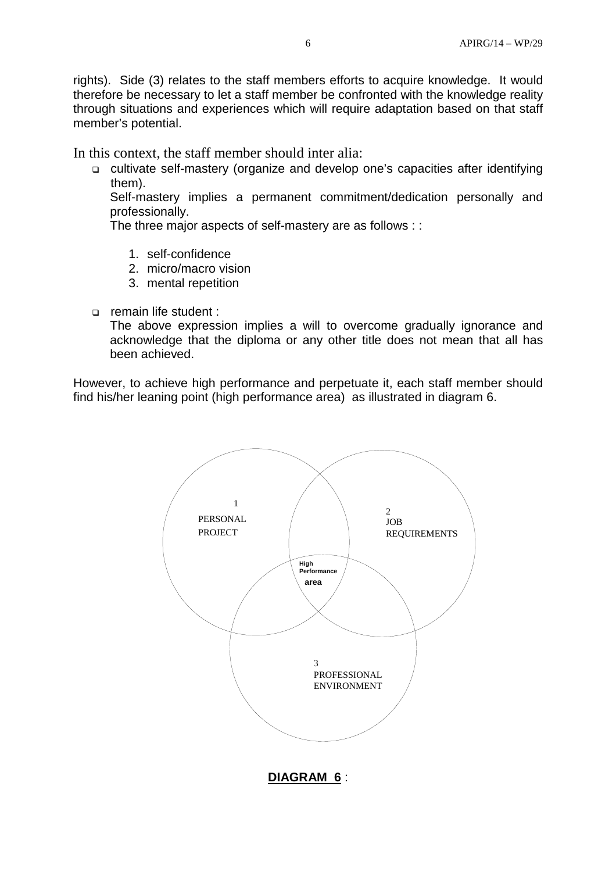rights). Side (3) relates to the staff members efforts to acquire knowledge. It would therefore be necessary to let a staff member be confronted with the knowledge reality through situations and experiences which will require adaptation based on that staff member's potential.

In this context, the staff member should inter alia:

□ cultivate self-mastery (organize and develop one's capacities after identifying them).

Self-mastery implies a permanent commitment/dedication personally and professionally.

The three major aspects of self-mastery are as follows : :

- 1. self-confidence
- 2. micro/macro vision
- 3. mental repetition
- remain life student :

The above expression implies a will to overcome gradually ignorance and acknowledge that the diploma or any other title does not mean that all has been achieved.

However, to achieve high performance and perpetuate it, each staff member should find his/her leaning point (high performance area) as illustrated in diagram 6.